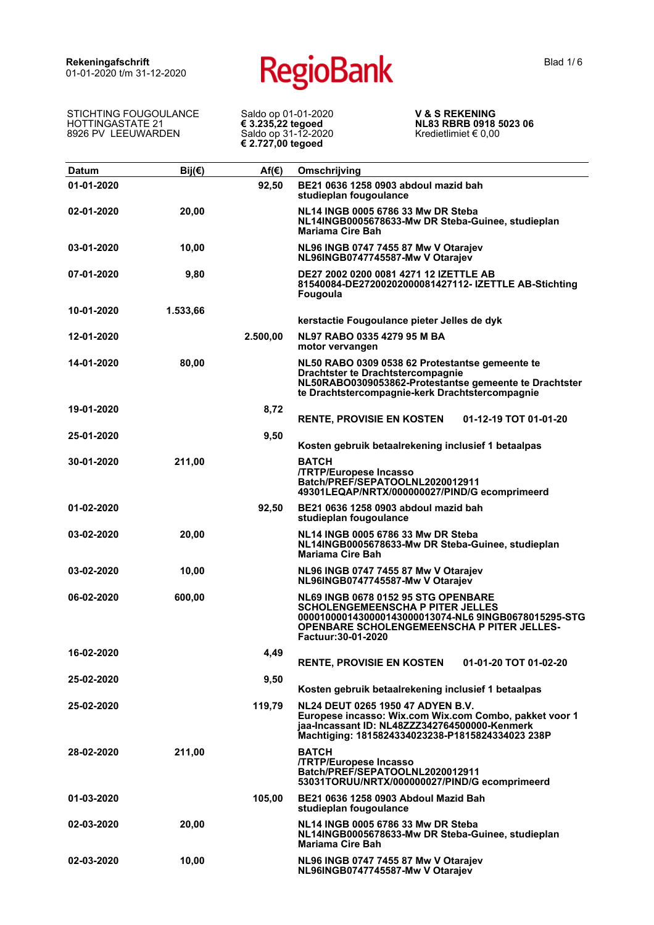STICHTING FOUGOULANCE HOTTINGASTATE 21 8926 PV LEEUWARDEN

Saldo op 01-01-2020 **€ 3.235,22 tegoed** Saldo op 31-12-2020 **€ 2.727,00 tegoed**

**V & S REKENING NL83 RBRB 0918 5023 06** Kredietlimiet € 0,00

| <b>Datum</b> | $Bij(\epsilon)$ | $Af(\epsilon)$ | Omschrijving                                                                                                                                                                                                       |
|--------------|-----------------|----------------|--------------------------------------------------------------------------------------------------------------------------------------------------------------------------------------------------------------------|
| 01-01-2020   |                 | 92,50          | BE21 0636 1258 0903 abdoul mazid bah<br>studieplan fougoulance                                                                                                                                                     |
| 02-01-2020   | 20,00           |                | NL14 INGB 0005 6786 33 Mw DR Steba<br>NL14INGB0005678633-Mw DR Steba-Guinee, studieplan<br><b>Mariama Cire Bah</b>                                                                                                 |
| 03-01-2020   | 10,00           |                | NL96 INGB 0747 7455 87 Mw V Otarajev<br>NL96INGB0747745587-Mw V Otarajev                                                                                                                                           |
| 07-01-2020   | 9,80            |                | DE27 2002 0200 0081 4271 12 IZETTLE AB<br>81540084-DE27200202000081427112- IZETTLE AB-Stichting<br>Fougoula                                                                                                        |
| 10-01-2020   | 1.533,66        |                | kerstactie Fougoulance pieter Jelles de dyk                                                                                                                                                                        |
| 12-01-2020   |                 | 2.500,00       | NL97 RABO 0335 4279 95 M BA<br>motor vervangen                                                                                                                                                                     |
| 14-01-2020   | 80,00           |                | NL50 RABO 0309 0538 62 Protestantse gemeente te<br>Drachtster te Drachtstercompagnie<br>NL50RABO0309053862-Protestantse gemeente te Drachtster<br>te Drachtstercompagnie-kerk Drachtstercompagnie                  |
| 19-01-2020   |                 | 8,72           | <b>RENTE, PROVISIE EN KOSTEN</b><br>01-12-19 TOT 01-01-20                                                                                                                                                          |
| 25-01-2020   |                 | 9,50           | Kosten gebruik betaalrekening inclusief 1 betaalpas                                                                                                                                                                |
| 30-01-2020   | 211,00          |                | <b>BATCH</b><br><b>/TRTP/Europese Incasso</b><br>Batch/PREF/SEPATOOLNL2020012911<br>49301LEQAP/NRTX/000000027/PIND/G ecomprimeerd                                                                                  |
| 01-02-2020   |                 | 92,50          | BE21 0636 1258 0903 abdoul mazid bah<br>studieplan fougoulance                                                                                                                                                     |
| 03-02-2020   | 20,00           |                | NL14 INGB 0005 6786 33 Mw DR Steba<br>NL14INGB0005678633-Mw DR Steba-Guinee, studieplan<br><b>Mariama Cire Bah</b>                                                                                                 |
| 03-02-2020   | 10,00           |                | NL96 INGB 0747 7455 87 Mw V Otarajev<br>NL96INGB0747745587-Mw V Otarajev                                                                                                                                           |
| 06-02-2020   | 600,00          |                | <b>NL69 INGB 0678 0152 95 STG OPENBARE</b><br><b>SCHOLENGEMEENSCHA P PITER JELLES</b><br>0000100001430000143000013074-NL6 9INGB0678015295-STG<br>OPENBARE SCHOLENGEMEENSCHA P PITER JELLES-<br>Factuur: 30-01-2020 |
| 16-02-2020   |                 | 4,49           | <b>RENTE, PROVISIE EN KOSTEN</b><br>01-01-20 TOT 01-02-20                                                                                                                                                          |
| 25-02-2020   |                 | 9,50           | Kosten gebruik betaalrekening inclusief 1 betaalpas                                                                                                                                                                |
| 25-02-2020   |                 | 119.79         | NL24 DEUT 0265 1950 47 ADYEN B.V.<br>Europese incasso: Wix.com Wix.com Combo, pakket voor 1<br>jaa-Incassant ID: NL48ZZZ342764500000-Kenmerk<br>Machtiging: 1815824334023238-P1815824334023 238P                   |
| 28-02-2020   | 211,00          |                | <b>BATCH</b><br><b>/TRTP/Europese Incasso</b><br>Batch/PREF/SEPATOOLNL2020012911<br>53031TORUU/NRTX/000000027/PIND/G ecomprimeerd                                                                                  |
| 01-03-2020   |                 | 105,00         | BE21 0636 1258 0903 Abdoul Mazid Bah<br>studieplan fougoulance                                                                                                                                                     |
| 02-03-2020   | 20,00           |                | NL14 INGB 0005 6786 33 Mw DR Steba<br>NL14INGB0005678633-Mw DR Steba-Guinee, studieplan<br><b>Mariama Cire Bah</b>                                                                                                 |
| 02-03-2020   | 10,00           |                | NL96 INGB 0747 7455 87 Mw V Otarajev<br>NL96INGB0747745587-Mw V Otarajev                                                                                                                                           |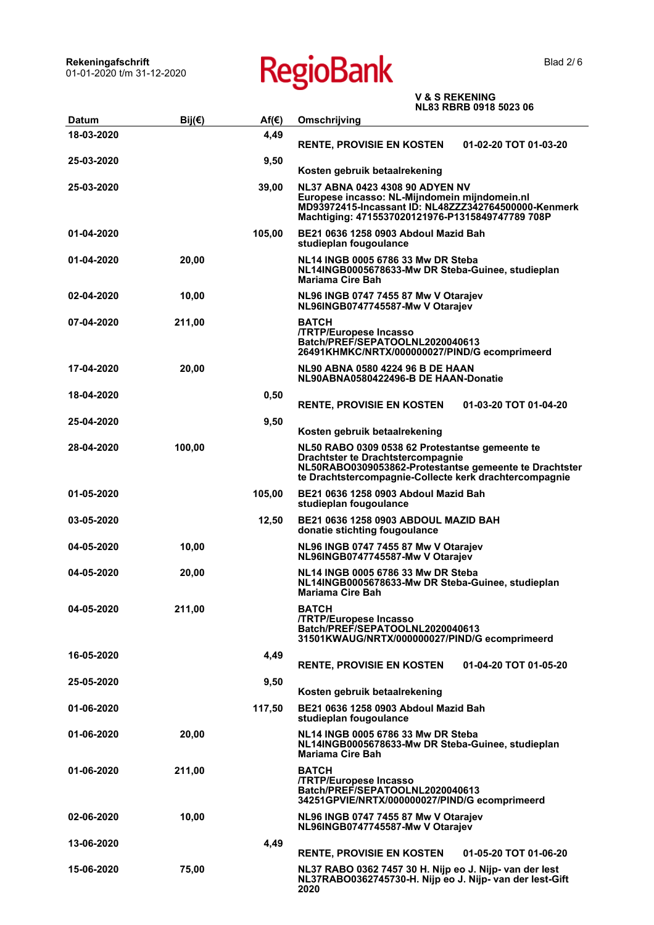| <b>Datum</b> | Bij $(\epsilon)$ | $Af(\epsilon)$ | טט טצטט טו כט טועו<br>Omschrijving                                                                       |
|--------------|------------------|----------------|----------------------------------------------------------------------------------------------------------|
| 18-03-2020   |                  | 4,49           |                                                                                                          |
|              |                  |                | <b>RENTE, PROVISIE EN KOSTEN</b><br>01-02-20 TOT 01-03-20                                                |
| 25-03-2020   |                  | 9,50           |                                                                                                          |
|              |                  |                | Kosten gebruik betaalrekening                                                                            |
| 25-03-2020   |                  | 39,00          | <b>NL37 ABNA 0423 4308 90 ADYEN NV</b>                                                                   |
|              |                  |                | Europese incasso: NL-Mijndomein mijndomein.nl                                                            |
|              |                  |                | MD93972415-Incassant ID: NL48ZZZ342764500000-Kenmerk<br>Machtiging: 4715537020121976-P1315849747789 708P |
|              |                  |                |                                                                                                          |
| 01-04-2020   |                  | 105,00         | BE21 0636 1258 0903 Abdoul Mazid Bah<br>studieplan fougoulance                                           |
| 01-04-2020   |                  |                | NL14 INGB 0005 6786 33 Mw DR Steba                                                                       |
|              | 20,00            |                | NL14INGB0005678633-Mw DR Steba-Guinee, studieplan                                                        |
|              |                  |                | <b>Mariama Cire Bah</b>                                                                                  |
| 02-04-2020   | 10,00            |                | NL96 INGB 0747 7455 87 Mw V Otarajev                                                                     |
|              |                  |                | NL96INGB0747745587-Mw V Otarajev                                                                         |
| 07-04-2020   | 211,00           |                | <b>BATCH</b>                                                                                             |
|              |                  |                | /TRTP/Europese Incasso                                                                                   |
|              |                  |                | Batch/PREF/SEPATOOLNL2020040613<br>26491KHMKC/NRTX/000000027/PIND/G ecomprimeerd                         |
|              |                  |                | NL90 ABNA 0580 4224 96 B DE HAAN                                                                         |
| 17-04-2020   | 20,00            |                | NL90ABNA0580422496-B DE HAAN-Donatie                                                                     |
| 18-04-2020   |                  | 0,50           |                                                                                                          |
|              |                  |                | <b>RENTE, PROVISIE EN KOSTEN</b><br>01-03-20 TOT 01-04-20                                                |
| 25-04-2020   |                  | 9,50           |                                                                                                          |
|              |                  |                | Kosten gebruik betaalrekening                                                                            |
| 28-04-2020   | 100,00           |                | NL50 RABO 0309 0538 62 Protestantse gemeente te                                                          |
|              |                  |                | <b>Drachtster te Drachtstercompagnie</b>                                                                 |
|              |                  |                | NL50RABO0309053862-Protestantse gemeente te Drachtster                                                   |
|              |                  |                | te Drachtstercompagnie-Collecte kerk drachtercompagnie                                                   |
| 01-05-2020   |                  | 105,00         | BE21 0636 1258 0903 Abdoul Mazid Bah<br>studieplan fougoulance                                           |
|              |                  |                |                                                                                                          |
| 03-05-2020   |                  | 12,50          | <b>BE21 0636 1258 0903 ABDOUL MAZID BAH</b><br>donatie stichting fougoulance                             |
|              |                  |                |                                                                                                          |
| 04-05-2020   | 10,00            |                | NL96 INGB 0747 7455 87 Mw V Otarajev<br>NL96INGB0747745587-Mw V Otarajev                                 |
| 04-05-2020   | 20,00            |                | NL14 INGB 0005 6786 33 Mw DR Steba                                                                       |
|              |                  |                | NL14INGB0005678633-Mw DR Steba-Guinee, studieplan                                                        |
|              |                  |                | <b>Mariama Cire Bah</b>                                                                                  |
| 04-05-2020   | 211,00           |                | <b>BATCH</b>                                                                                             |
|              |                  |                | /TRTP/Europese Incasso                                                                                   |
|              |                  |                | Batch/PREF/SEPATOOLNL2020040613<br>31501KWAUG/NRTX/000000027/PIND/G ecomprimeerd                         |
| 16-05-2020   |                  |                |                                                                                                          |
|              |                  | 4,49           | <b>RENTE, PROVISIE EN KOSTEN</b><br>01-04-20 TOT 01-05-20                                                |
| 25-05-2020   |                  | 9,50           |                                                                                                          |
|              |                  |                | Kosten gebruik betaalrekening                                                                            |
| 01-06-2020   |                  | 117,50         | BE21 0636 1258 0903 Abdoul Mazid Bah                                                                     |
|              |                  |                | studieplan fougoulance                                                                                   |
| 01-06-2020   | 20,00            |                | NL14 INGB 0005 6786 33 Mw DR Steba                                                                       |
|              |                  |                | NL14INGB0005678633-Mw DR Steba-Guinee, studieplan                                                        |
|              |                  |                | Mariama Cire Bah                                                                                         |
| 01-06-2020   | 211,00           |                | <b>BATCH</b>                                                                                             |
|              |                  |                | /TRTP/Europese Incasso<br>Batch/PREF/SEPATOOLNL2020040613                                                |
|              |                  |                | 34251GPVIE/NRTX/000000027/PIND/G ecomprimeerd                                                            |
| 02-06-2020   | 10,00            |                | NL96 INGB 0747 7455 87 Mw V Otarajev                                                                     |
|              |                  |                | NL96INGB0747745587-Mw V Otarajev                                                                         |
| 13-06-2020   |                  | 4,49           |                                                                                                          |
|              |                  |                | <b>RENTE, PROVISIE EN KOSTEN</b><br>01-05-20 TOT 01-06-20                                                |
| 15-06-2020   | 75,00            |                | NL37 RABO 0362 7457 30 H. Nijp eo J. Nijp- van der lest                                                  |
|              |                  |                | NL37RABO0362745730-H. Nijp eo J. Nijp- van der lest-Gift<br>2020                                         |
|              |                  |                |                                                                                                          |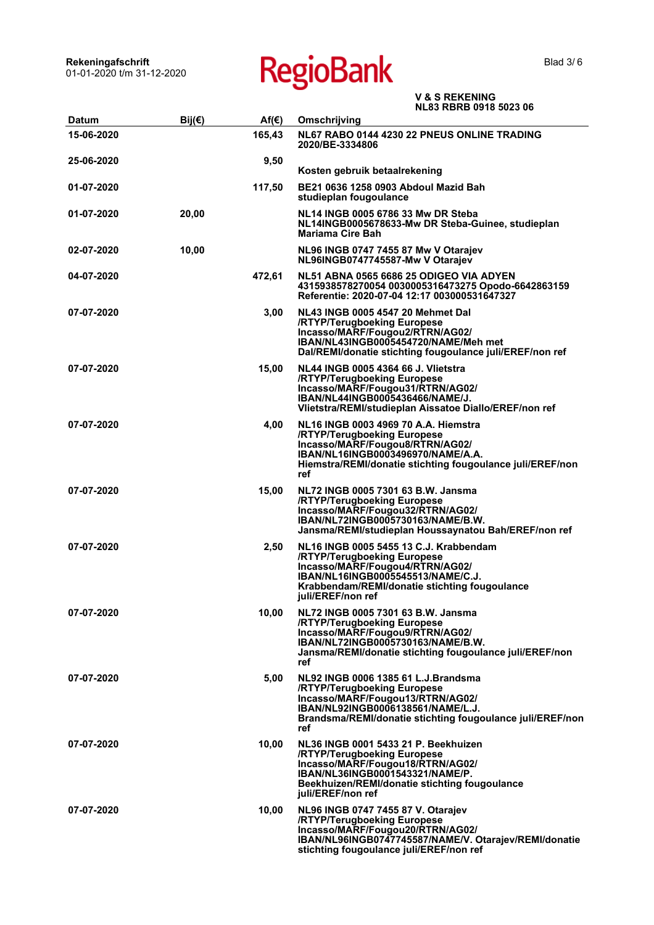| <b>Datum</b> | Bij $($ $\epsilon)$ | $Af(\epsilon)$ | Omschrijving                                                                                                                                                                                                        |
|--------------|---------------------|----------------|---------------------------------------------------------------------------------------------------------------------------------------------------------------------------------------------------------------------|
| 15-06-2020   |                     | 165,43         | NL67 RABO 0144 4230 22 PNEUS ONLINE TRADING<br>2020/BE-3334806                                                                                                                                                      |
| 25-06-2020   |                     | 9,50           | Kosten gebruik betaalrekening                                                                                                                                                                                       |
| 01-07-2020   |                     | 117,50         | BE21 0636 1258 0903 Abdoul Mazid Bah<br>studieplan fougoulance                                                                                                                                                      |
| 01-07-2020   | 20,00               |                | NL14 INGB 0005 6786 33 Mw DR Steba<br>NL14INGB0005678633-Mw DR Steba-Guinee, studieplan<br><b>Mariama Cire Bah</b>                                                                                                  |
| 02-07-2020   | 10,00               |                | NL96 INGB 0747 7455 87 Mw V Otarajev<br>NL96INGB0747745587-Mw V Otarajev                                                                                                                                            |
| 04-07-2020   |                     | 472,61         | <b>NL51 ABNA 0565 6686 25 ODIGEO VIA ADYEN</b><br>4315938578270054 0030005316473275 Opodo-6642863159<br>Referentie: 2020-07-04 12:17 003000531647327                                                                |
| 07-07-2020   |                     | 3,00           | NL43 INGB 0005 4547 20 Mehmet Dal<br>/RTYP/Terugboeking Europese<br>Incasso/MARF/Fougou2/RTRN/AG02/<br>IBAN/NL43INGB0005454720/NAME/Meh met<br>Dal/REMI/donatie stichting fougoulance juli/EREF/non ref             |
| 07-07-2020   |                     | 15,00          | NL44 INGB 0005 4364 66 J. Vlietstra<br>/RTYP/Terugboeking Europese<br>Incasso/MARF/Fougou31/RTRN/AG02/<br>IBAN/NL44INGB0005436466/NAME/J.<br>Vlietstra/REMI/studieplan Aissatoe Diallo/EREF/non ref                 |
| 07-07-2020   |                     | 4,00           | NL16 INGB 0003 4969 70 A.A. Hiemstra<br>/RTYP/Terugboeking Europese<br>Incasso/MARF/Fougou8/RTRN/AG02/<br>IBAN/NL16INGB0003496970/NAME/A.A.<br>Hiemstra/REMI/donatie stichting fougoulance juli/EREF/non<br>ref     |
| 07-07-2020   |                     | 15,00          | NL72 INGB 0005 7301 63 B.W. Jansma<br>/RTYP/Terugboeking Europese<br>Incasso/MARF/Fougou32/RTRN/AG02/<br>IBAN/NL72INGB0005730163/NAME/B.W.<br>Jansma/REMI/studieplan Houssaynatou Bah/EREF/non ref                  |
| 07-07-2020   |                     | 2,50           | NL16 INGB 0005 5455 13 C.J. Krabbendam<br>/RTYP/Terugboeking Europese<br>Incasso/MARF/Fougou4/RTRN/AG02/<br>IBAN/NL16INGB0005545513/NAME/C.J.<br>Krabbendam/REMI/donatie stichting fougoulance<br>juli/EREF/non ref |
| 07-07-2020   |                     | 10,00          | NL72 INGB 0005 7301 63 B.W. Jansma<br>/RTYP/Terugboeking Europese<br>Incasso/MARF/Fougou9/RTRN/AG02/<br>IBAN/NL72INGB0005730163/NAME/B.W.<br>Jansma/REMI/donatie stichting fougoulance juli/EREF/non<br>ref         |
| 07-07-2020   |                     | 5,00           | NL92 INGB 0006 1385 61 L.J.Brandsma<br>/RTYP/Terugboeking Europese<br>Incasso/MARF/Fougou13/RTRN/AG02/<br>IBAN/NL92INGB0006138561/NAME/L.J.<br>Brandsma/REMI/donatie stichting fougoulance juli/EREF/non<br>ref     |
| 07-07-2020   |                     | 10,00          | NL36 INGB 0001 5433 21 P. Beekhuizen<br>/RTYP/Terugboeking Europese<br>Incasso/MARF/Fougou18/RTRN/AG02/<br>IBAN/NL36INGB0001543321/NAME/P.<br>Beekhuizen/REMI/donatie stichting fougoulance<br>juli/EREF/non ref    |
| 07-07-2020   |                     | 10,00          | NL96 INGB 0747 7455 87 V. Otarajev<br>/RTYP/Terugboeking Europese<br>Incasso/MARF/Fougou20/RTRN/AG02/<br>IBAN/NL96INGB0747745587/NAME/V. Otarajev/REMI/donatie<br>stichting fougoulance juli/EREF/non ref           |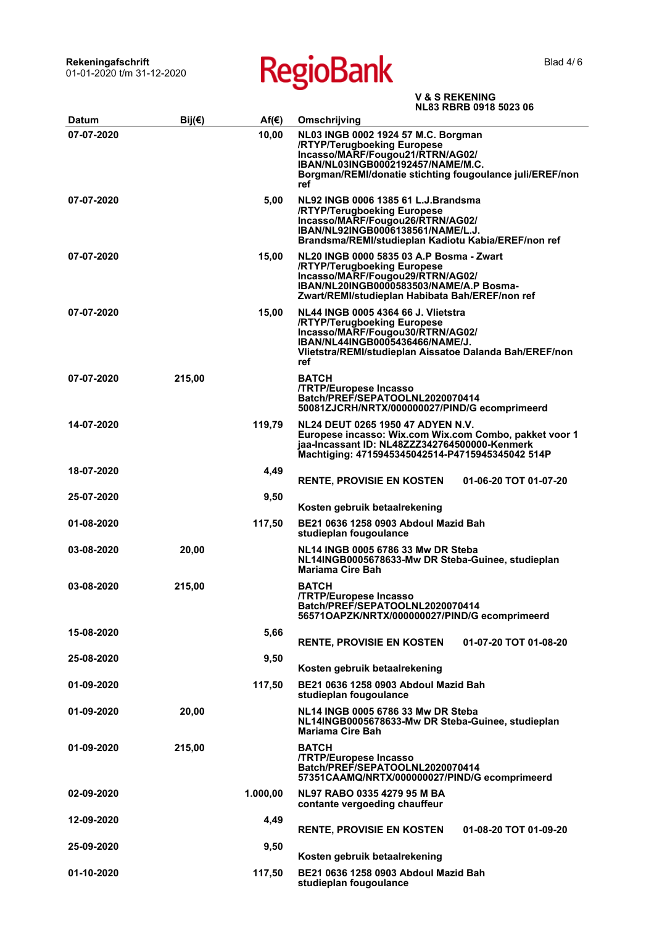Blad 4/6

| Datum      | Bij $(\epsilon)$ | $Af(\epsilon)$ | Omschrijving                                                                                                                                                                                                       |
|------------|------------------|----------------|--------------------------------------------------------------------------------------------------------------------------------------------------------------------------------------------------------------------|
| 07-07-2020 |                  | 10,00          | NL03 INGB 0002 1924 57 M.C. Borgman<br>/RTYP/Terugboeking Europese<br>Incasso/MARF/Fougou21/RTRN/AG02/<br>IBAN/NL03INGB0002192457/NAME/M.C.<br>Borgman/REMI/donatie stichting fougoulance juli/EREF/non<br>ref     |
| 07-07-2020 |                  | 5,00           | NL92 INGB 0006 1385 61 L.J.Brandsma<br>/RTYP/Terugboeking Europese<br>Incasso/MARF/Fougou26/RTRN/AG02/<br>IBAN/NL92INGB0006138561/NAME/L.J.<br>Brandsma/REMI/studieplan Kadiotu Kabia/EREF/non ref                 |
| 07-07-2020 |                  | 15,00          | NL20 INGB 0000 5835 03 A.P Bosma - Zwart<br>/RTYP/Terugboeking Europese<br>Incasso/MARF/Fougou29/RTRN/AG02/<br>IBAN/NL20INGB0000583503/NAME/A.P Bosma-<br>Zwart/REMI/studieplan Habibata Bah/EREF/non ref          |
| 07-07-2020 |                  | 15,00          | <b>NL44 INGB 0005 4364 66 J. Vlietstra</b><br>/RTYP/Terugboeking Europese<br>Incasso/MARF/Fougou30/RTRN/AG02/<br>IBAN/NL44INGB0005436466/NAME/J.<br>Vlietstra/REMI/studieplan Aissatoe Dalanda Bah/EREF/non<br>ref |
| 07-07-2020 | 215,00           |                | <b>BATCH</b><br>/TRTP/Europese Incasso<br>Batch/PREF/SEPATOOLNL2020070414<br>50081ZJCRH/NRTX/000000027/PIND/G ecomprimeerd                                                                                         |
| 14-07-2020 |                  | 119,79         | NL24 DEUT 0265 1950 47 ADYEN N.V.<br>Europese incasso: Wix.com Wix.com Combo, pakket voor 1<br>jaa-Incassant ID: NL48ZZZ342764500000-Kenmerk<br>Machtiging: 4715945345042514-P4715945345042 514P                   |
| 18-07-2020 |                  | 4,49           | <b>RENTE, PROVISIE EN KOSTEN</b><br>01-06-20 TOT 01-07-20                                                                                                                                                          |
| 25-07-2020 |                  | 9,50           | Kosten gebruik betaalrekening                                                                                                                                                                                      |
| 01-08-2020 |                  | 117,50         | BE21 0636 1258 0903 Abdoul Mazid Bah<br>studieplan fougoulance                                                                                                                                                     |
| 03-08-2020 | 20,00            |                | NL14 INGB 0005 6786 33 Mw DR Steba<br>NL14INGB0005678633-Mw DR Steba-Guinee, studieplan<br>Mariama Cire Bah                                                                                                        |
| 03-08-2020 | 215,00           |                | <b>BATCH</b><br>/TRTP/Europese Incasso<br>Batch/PREF/SEPATOOLNL2020070414<br>56571OAPZK/NRTX/000000027/PIND/G ecomprimeerd                                                                                         |
| 15-08-2020 |                  | 5,66           | <b>RENTE, PROVISIE EN KOSTEN</b><br>01-07-20 TOT 01-08-20                                                                                                                                                          |
| 25-08-2020 |                  | 9,50           |                                                                                                                                                                                                                    |
|            |                  |                | Kosten gebruik betaalrekening                                                                                                                                                                                      |
| 01-09-2020 |                  | 117,50         | BE21 0636 1258 0903 Abdoul Mazid Bah<br>studieplan fougoulance                                                                                                                                                     |
| 01-09-2020 | 20,00            |                | NL14 INGB 0005 6786 33 Mw DR Steba<br>NL14INGB0005678633-Mw DR Steba-Guinee, studieplan<br>Mariama Cire Bah                                                                                                        |
| 01-09-2020 | 215,00           |                | <b>BATCH</b><br>/TRTP/Europese Incasso<br>Batch/PREF/SEPATOOLNL2020070414<br>57351CAAMQ/NRTX/000000027/PIND/G ecomprimeerd                                                                                         |
| 02-09-2020 |                  | 1.000,00       | NL97 RABO 0335 4279 95 M BA<br>contante vergoeding chauffeur                                                                                                                                                       |
| 12-09-2020 |                  | 4,49           | <b>RENTE, PROVISIE EN KOSTEN</b><br>01-08-20 TOT 01-09-20                                                                                                                                                          |
| 25-09-2020 |                  | 9,50           | Kosten gebruik betaalrekening                                                                                                                                                                                      |
| 01-10-2020 |                  | 117,50         | BE21 0636 1258 0903 Abdoul Mazid Bah<br>studieplan fougoulance                                                                                                                                                     |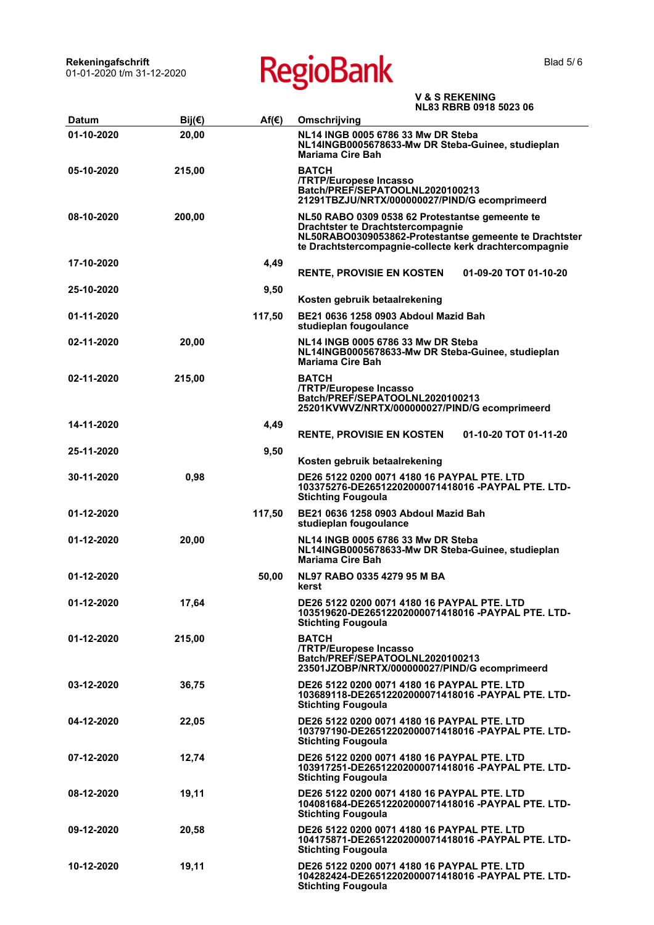Rekeningafschrift<br>01-01-2020 t/m 31-12-2020

**RegioBank** 

| <b>Datum</b> | Bij(€) | $Af(\epsilon)$ | Omschrijving                                                                                                                                                                                             |
|--------------|--------|----------------|----------------------------------------------------------------------------------------------------------------------------------------------------------------------------------------------------------|
| 01-10-2020   | 20,00  |                | NL14 INGB 0005 6786 33 Mw DR Steba<br>NL14INGB0005678633-Mw DR Steba-Guinee, studieplan<br><b>Mariama Cire Bah</b>                                                                                       |
| 05-10-2020   | 215,00 |                | <b>BATCH</b><br>/TRTP/Europese Incasso<br>Batch/PREF/SEPATOOLNL2020100213<br>21291TBZJU/NRTX/000000027/PIND/G ecomprimeerd                                                                               |
| 08-10-2020   | 200,00 |                | NL50 RABO 0309 0538 62 Protestantse gemeente te<br>Drachtster te Drachtstercompagnie<br>NL50RABO0309053862-Protestantse gemeente te Drachtster<br>te Drachtstercompagnie-collecte kerk drachtercompagnie |
| 17-10-2020   |        | 4,49           | 01-09-20 TOT 01-10-20<br><b>RENTE, PROVISIE EN KOSTEN</b>                                                                                                                                                |
| 25-10-2020   |        | 9,50           | Kosten gebruik betaalrekening                                                                                                                                                                            |
| 01-11-2020   |        | 117,50         | BE21 0636 1258 0903 Abdoul Mazid Bah<br>studieplan fougoulance                                                                                                                                           |
| 02-11-2020   | 20,00  |                | NL14 INGB 0005 6786 33 Mw DR Steba<br>NL14INGB0005678633-Mw DR Steba-Guinee, studieplan<br>Mariama Cire Bah                                                                                              |
| 02-11-2020   | 215,00 |                | <b>BATCH</b><br>/TRTP/Europese Incasso<br>Batch/PREF/SEPATOOLNL2020100213<br>25201KVWVZ/NRTX/000000027/PIND/G ecomprimeerd                                                                               |
| 14-11-2020   |        | 4,49           | <b>RENTE, PROVISIE EN KOSTEN</b><br>01-10-20 TOT 01-11-20                                                                                                                                                |
| 25-11-2020   |        | 9,50           | Kosten gebruik betaalrekening                                                                                                                                                                            |
| 30-11-2020   | 0,98   |                | DE26 5122 0200 0071 4180 16 PAYPAL PTE, LTD<br>103375276-DE26512202000071418016 -PAYPAL PTE. LTD-<br><b>Stichting Fougoula</b>                                                                           |
| 01-12-2020   |        | 117,50         | BE21 0636 1258 0903 Abdoul Mazid Bah<br>studieplan fougoulance                                                                                                                                           |
| 01-12-2020   | 20,00  |                | NL14 INGB 0005 6786 33 Mw DR Steba<br>NL14INGB0005678633-Mw DR Steba-Guinee, studieplan<br><b>Mariama Cire Bah</b>                                                                                       |
| 01-12-2020   |        | 50,00          | NL97 RABO 0335 4279 95 M BA<br>kerst                                                                                                                                                                     |
| 01-12-2020   | 17,64  |                | DE26 5122 0200 0071 4180 16 PAYPAL PTE, LTD<br>103519620-DE26512202000071418016 -PAYPAL PTE. LTD-<br><b>Stichting Fougoula</b>                                                                           |
| 01-12-2020   | 215,00 |                | <b>BATCH</b><br><b>/TRTP/Europese Incasso</b><br>Batch/PREF/SEPATOOLNL2020100213<br>23501JZOBP/NRTX/000000027/PIND/G ecomprimeerd                                                                        |
| 03-12-2020   | 36,75  |                | DE26 5122 0200 0071 4180 16 PAYPAL PTE, LTD<br>103689118-DE26512202000071418016 -PAYPAL PTE. LTD-<br><b>Stichting Fougoula</b>                                                                           |
| 04-12-2020   | 22,05  |                | DE26 5122 0200 0071 4180 16 PAYPAL PTE. LTD<br>103797190-DE26512202000071418016 -PAYPAL PTE. LTD-<br><b>Stichting Fougoula</b>                                                                           |
| 07-12-2020   | 12,74  |                | DE26 5122 0200 0071 4180 16 PAYPAL PTE, LTD<br>103917251-DE26512202000071418016 -PAYPAL PTE. LTD-<br><b>Stichting Fougoula</b>                                                                           |
| 08-12-2020   | 19,11  |                | DE26 5122 0200 0071 4180 16 PAYPAL PTE, LTD<br>104081684-DE26512202000071418016 -PAYPAL PTE, LTD-<br><b>Stichting Fougoula</b>                                                                           |
| 09-12-2020   | 20,58  |                | DE26 5122 0200 0071 4180 16 PAYPAL PTE, LTD<br>104175871-DE26512202000071418016 -PAYPAL PTE. LTD-<br><b>Stichting Fougoula</b>                                                                           |
| 10-12-2020   | 19,11  |                | DE26 5122 0200 0071 4180 16 PAYPAL PTE. LTD<br>104282424-DE26512202000071418016-PAYPAL PTE. LTD-<br><b>Stichting Fougoula</b>                                                                            |